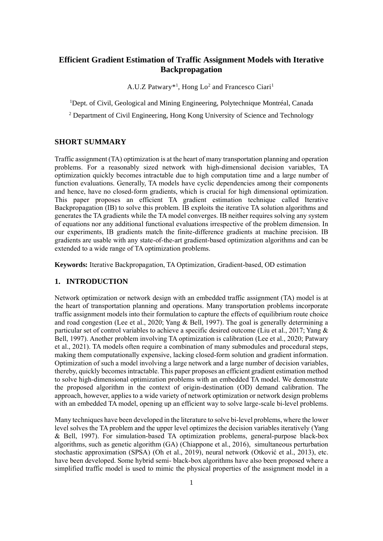# **Efficient Gradient Estimation of Traffic Assignment Models with Iterative Backpropagation**

A.U.Z Patwary\*<sup>1</sup>, Hong Lo<sup>2</sup> and Francesco Ciari<sup>1</sup>

<sup>1</sup>Dept. of Civil, Geological and Mining Engineering, Polytechnique Montréal, Canada

<sup>2</sup> Department of Civil Engineering, Hong Kong University of Science and Technology

### **SHORT SUMMARY**

Traffic assignment (TA) optimization is at the heart of many transportation planning and operation problems. For a reasonably sized network with high-dimensional decision variables, TA optimization quickly becomes intractable due to high computation time and a large number of function evaluations. Generally, TA models have cyclic dependencies among their components and hence, have no closed-form gradients, which is crucial for high dimensional optimization. This paper proposes an efficient TA gradient estimation technique called Iterative Backpropagation (IB) to solve this problem. IB exploits the iterative TA solution algorithms and generates the TA gradients while the TA model converges. IB neither requires solving any system of equations nor any additional functional evaluations irrespective of the problem dimension. In our experiments, IB gradients match the finite-difference gradients at machine precision. IB gradients are usable with any state-of-the-art gradient-based optimization algorithms and can be extended to a wide range of TA optimization problems.

**Keywords:** Iterative Backpropagation, TA Optimization, Gradient-based, OD estimation

# **1. INTRODUCTION**

Network optimization or network design with an embedded traffic assignment (TA) model is at the heart of transportation planning and operations. Many transportation problems incorporate traffic assignment models into their formulation to capture the effects of equilibrium route choice and road congestion (Lee et al., 2020; Yang & Bell, 1997). The goal is generally determining a particular set of control variables to achieve a specific desired outcome (Liu et al., 2017; Yang & Bell, 1997). Another problem involving TA optimization is calibration (Lee et al., 2020; Patwary et al., 2021). TA models often require a combination of many submodules and procedural steps, making them computationally expensive, lacking closed-form solution and gradient information. Optimization of such a model involving a large network and a large number of decision variables, thereby, quickly becomes intractable. This paper proposes an efficient gradient estimation method to solve high-dimensional optimization problems with an embedded TA model. We demonstrate the proposed algorithm in the context of origin-destination (OD) demand calibration. The approach, however, applies to a wide variety of network optimization or network design problems with an embedded TA model, opening up an efficient way to solve large-scale bi-level problems.

Many techniques have been developed in the literature to solve bi-level problems, where the lower level solves the TA problem and the upper level optimizes the decision variables iteratively (Yang & Bell, 1997). For simulation-based TA optimization problems, general-purpose black-box algorithms, such as genetic algorithm (GA) (Chiappone et al., 2016), simultaneous perturbation stochastic approximation (SPSA) (Oh et al., 2019), neural network (Otković et al., 2013), etc. have been developed. Some hybrid semi- black-box algorithms have also been proposed where a simplified traffic model is used to mimic the physical properties of the assignment model in a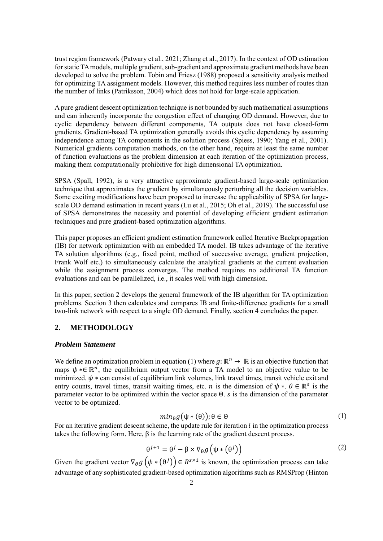trust region framework (Patwary et al., 2021; Zhang et al., 2017). In the context of OD estimation for static TA models, multiple gradient, sub-gradient and approximate gradient methods have been developed to solve the problem. Tobin and Friesz (1988) proposed a sensitivity analysis method for optimizing TA assignment models. However, this method requires less number of routes than the number of links (Patriksson, 2004) which does not hold for large-scale application.

A pure gradient descent optimization technique is not bounded by such mathematical assumptions and can inherently incorporate the congestion effect of changing OD demand. However, due to cyclic dependency between different components, TA outputs does not have closed-form gradients. Gradient-based TA optimization generally avoids this cyclic dependency by assuming independence among TA components in the solution process (Spiess, 1990; Yang et al., 2001). Numerical gradients computation methods, on the other hand, require at least the same number of function evaluations as the problem dimension at each iteration of the optimization process, making them computationally prohibitive for high dimensional TA optimization.

SPSA (Spall, 1992), is a very attractive approximate gradient-based large-scale optimization technique that approximates the gradient by simultaneously perturbing all the decision variables. Some exciting modifications have been proposed to increase the applicability of SPSA for largescale OD demand estimation in recent years (Lu et al., 2015; Oh et al., 2019). The successful use of SPSA demonstrates the necessity and potential of developing efficient gradient estimation techniques and pure gradient-based optimization algorithms.

This paper proposes an efficient gradient estimation framework called Iterative Backpropagation (IB) for network optimization with an embedded TA model. IB takes advantage of the iterative TA solution algorithms (e.g., fixed point, method of successive average, gradient projection, Frank Wolf etc.) to simultaneously calculate the analytical gradients at the current evaluation while the assignment process converges. The method requires no additional TA function evaluations and can be parallelized, i.e., it scales well with high dimension.

In this paper, section 2 develops the general framework of the IB algorithm for TA optimization problems. Section 3 then calculates and compares IB and finite-difference gradients for a small two-link network with respect to a single OD demand. Finally, section 4 concludes the paper.

# **2. METHODOLOGY**

#### *Problem Statement*

We define an optimization problem in equation [\(1\)](#page-1-0) where  $g: \mathbb{R}^n \to \mathbb{R}$  is an objective function that maps  $\psi * \in \mathbb{R}^n$ , the equilibrium output vector from a TA model to an objective value to be minimized.  $\psi$  \* can consist of equilibrium link volumes, link travel times, transit vehicle exit and entry counts, travel times, transit waiting times, etc. *n* is the dimension of  $\psi *$ .  $\theta \in \mathbb{R}^s$  is the parameter vector to be optimized within the vector space  $\Theta$ . *s* is the dimension of the parameter vector to be optimized.

<span id="page-1-0"></span>
$$
min_{\theta} g(\psi * (\theta)); \theta \in \Theta
$$
 (1)

For an iterative gradient descent scheme, the update rule for iteration  $i$  in the optimization process takes the following form. Here,  $\beta$  is the learning rate of the gradient descent process.

$$
\theta^{j+1} = \theta^j - \beta \times \nabla_{\theta} g\left(\psi * (\theta^j)\right)
$$
 (2)

Given the gradient vector  $\nabla_{\theta} g(\psi * (\theta^j)) \in R^{s \times 1}$  is known, the optimization process can take advantage of any sophisticated gradient-based optimization algorithms such as RMSProp (Hinton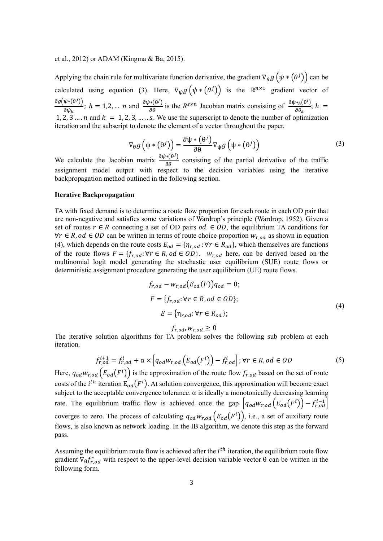### et al., 2012) or ADAM (Kingma & Ba, 2015).

Applying the chain rule for multivariate function derivative, the gradient  $\nabla_{\theta} g(\psi * (\theta^j))$  can be calculated using equation [\(3\)](#page-2-0). Here,  $\nabla_{\psi} g(\psi * (\theta^j))$  is the  $\mathbb{R}^{n \times 1}$  gradient vector of  $\partial g(\psi*(\theta^j))$  $\frac{\psi^*(\theta^j)}{\partial \psi_h}$ ;  $h = 1, 2, ...$  *n* and  $\frac{\partial \psi^*(\theta^j)}{\partial \theta}$  is the *R*<sup>SX*n*</sup> Jacobian matrix consisting of  $\frac{\partial \psi^*(\theta^i)}{\partial \theta_k}$  $\frac{\partial^k h(\mathbf{0})}{\partial \theta_k}; h =$ 1, 2, 3 … . n and  $k = 1, 2, 3, \dots$  . S. We use the superscript to denote the number of optimization iteration and the subscript to denote the element of a vector throughout the paper.

<span id="page-2-0"></span>
$$
\nabla_{\theta} g\left(\psi * (\theta^{j})\right) = \frac{\partial \psi * (\theta^{j})}{\partial \theta} \nabla_{\psi} g\left(\psi * (\theta^{j})\right)
$$
(3)

We calculate the Jacobian matrix  $\frac{\partial \psi * (\theta)}{\partial \theta}$  consisting of the partial derivative of the traffic assignment model output with respect to the decision variables using the iterative backpropagation method outlined in the following section.

### **Iterative Backpropagation**

TA with fixed demand is to determine a route flow proportion for each route in each OD pair that are non-negative and satisfies some variations of Wardrop's principle (Wardrop, 1952). Given a set of routes  $r \in R$  connecting a set of OD pairs  $od \in OD$ , the equilibrium TA conditions for ∀r  $\in$  R, od  $\in$  OD can be written in terms of route choice proportion  $w_{r,od}$  as shown in equation [\(4\)](#page-2-1), which depends on the route costs  $E_{od} = \{\eta_{r,od} : \forall r \in R_{od}\}\)$ , which themselves are functions of the route flows  $F = \{f_{r, od}: \forall r \in R, od \in OD\}$ .  $w_{r, od}$  here, can be derived based on the multinomial logit model generating the stochastic user equilibrium (SUE) route flows or deterministic assignment procedure generating the user equilibrium (UE) route flows.

$$
f_{r,od} - w_{r,od}(E_{od}(F))q_{od} = 0;
$$
  
\n
$$
F = \{f_{r,od}: \forall r \in R, od \in OD\};
$$
  
\n
$$
E = \{\eta_{r,od}: \forall r \in R_{od}\};
$$
\n(4)

<span id="page-2-2"></span><span id="page-2-1"></span> $f_{r, od}, w_{r, od} \geq 0$ 

The iterative solution algorithms for TA problem solves the following sub problem at each iteration.

$$
f_{r,od}^{i+1} = f_{r,od}^{i} + \alpha \times \left[ q_{od} w_{r,od} \left( E_{od} (F^{i}) \right) - f_{r,od}^{i} \right]; \forall r \in R, od \in OD
$$
\n
$$
(5)
$$

Here,  $q_{od}w_{r,od}(E_{od}(F^i))$  is the approximation of the route flow  $f_{r,od}$  based on the set of route costs of the *i*<sup>th</sup> iteration  $E_{od}(F^i)$ . At solution convergence, this approximation will become exact subject to the acceptable convergence tolerance.  $\alpha$  is ideally a monotonically decreasing learning rate. The equilibrium traffic flow is achieved once the gap  $|q_{od}w_{r,od}(E_{od}(F^i)) - f_{r,od}^{i-1}|$ coverges to zero. The process of calculating  $q_{od}w_{r,od}(E_{od}(F^i))$ , i.e., a set of auxiliary route flows, is also known as network loading. In the IB algorithm, we denote this step as the forward pass.

Assuming the equilibrium route flow is achieved after the  $I^{th}$  iteration, the equilibrium route flow gradient  $\nabla_{\theta} f_{r,od}^*$  with respect to the upper-level decision variable vector  $\theta$  can be written in the following form.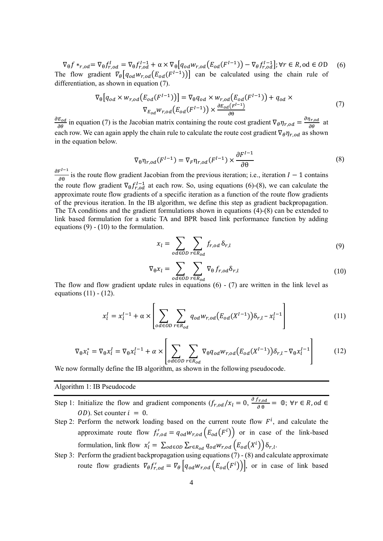$\nabla_{\theta} f *_{r,od} = \nabla_{\theta} f_{r,od}^I = \nabla_{\theta} f_{r,od}^{I-1} + \alpha \times \nabla_{\theta} \left[ q_{od} w_{r,od} \left( E_{od} (F^{I-1}) \right) - \nabla_{\theta} f_{r,od}^{I-1} \right]; \forall r \in R, \text{od} \in OD$  (6) The flow gradient  $\mathbb{V}_{\theta} [q_{od} w_{r,od}(E_{od}(F^{I-1}))]$  can be calculated using the chain rule of differentiation, as shown in equation [\(7\)](#page-3-0).

$$
\nabla_{\theta} [q_{od} \times w_{r,od}(E_{od}(F^{I-1}))] = \nabla_{\theta} q_{od} \times w_{r,od}(E_{od}(F^{I-1})) + q_{od} \times
$$
  
\n
$$
\nabla_{E_{od}} w_{r,od}(E_{od}(F^{I-1})) \times \frac{\partial E_{od}(F^{I-1})}{\partial \theta}
$$
\n(7)

 $\frac{\partial E_{od}}{\partial \theta}$  in equation [\(7\)](#page-3-0) is the Jacobian matrix containing the route cost gradient  $\nabla_{\theta} \eta_{r,od} = \frac{\partial \eta_{r,od}}{\partial \theta}$  at each row. We can again apply the chain rule to calculate the route cost gradient  $\nabla_{\theta} \eta_{r,od}$  as shown in the equation below.

<span id="page-3-1"></span><span id="page-3-0"></span>
$$
\nabla_{\theta} \eta_{r,od}(F^{I-1}) = \nabla_F \eta_{r,od}(F^{I-1}) \times \frac{\partial F^{I-1}}{\partial \theta}
$$
\n(8)

 $\partial F^{I-1}$  $\frac{\partial^2}{\partial \theta}$  is the route flow gradient Jacobian from the previous iteration; i.e., iteration  $I - 1$  contains the route flow gradient  $\nabla_{\theta} f_{r,od}^{1-1}$  at each row. So, using equations [\(6\)](#page-3-1)[-\(8\)](#page-3-2), we can calculate the approximate route flow gradients of a specific iteration as a function of the route flow gradients of the previous iteration. In the IB algorithm, we define this step as gradient backpropagation. The TA conditions and the gradient formulations shown in equations [\(4\)](#page-2-1)[-\(8\)](#page-3-2) can be extended to link based formulation for a static TA and BPR based link performance function by adding equations  $(9)$  -  $(10)$  to the formulation.

<span id="page-3-4"></span><span id="page-3-3"></span><span id="page-3-2"></span>
$$
x_l = \sum_{od \in OD} \sum_{r \in R_{od}} f_{r,od} \, \delta_{r,l} \tag{9}
$$

<span id="page-3-6"></span><span id="page-3-5"></span>
$$
\nabla_{\theta} \mathbf{x}_{l} = \sum_{od \in OD} \sum_{r \in R_{od}} \nabla_{\theta} f_{r,od} \delta_{r,l}
$$
\n(10)

The flow and flow gradient update rules in equations  $(6)$  -  $(7)$  are written in the link level as equations  $(11)$  -  $(12)$ .

$$
x_l^I = x_l^{I-1} + \alpha \times \left[ \sum_{od \in OD} \sum_{r \in R_{od}} q_{od} w_{r,od} (E_{od}(X^{I-1})) \delta_{r,l} - x_l^{I-1} \right]
$$
(11)

$$
\nabla_{\theta} x_l^* = \nabla_{\theta} x_l^I = \nabla_{\theta} x_l^{I-1} + \alpha \times \left[ \sum_{o \, d \in OD} \sum_{r \in R_{od}} \nabla_{\theta} q_{od} w_{r,od} \left( E_{od} (X^{I-1}) \right) \delta_{r,l} - \nabla_{\theta} x_l^{I-1} \right]
$$
(12)

We now formally define the IB algorithm, as shown in the following pseudocode.

Algorithm 1: IB Pseudocode

- Step 1: Initialize the flow and gradient components  $(f_{r,od}/x_l = 0, \frac{\partial f_{r,od}}{\partial \theta})$  $\frac{\partial^T r, \, \partial d}{\partial \theta} = 0$ ;  $\forall r \in R$ ,  $od \in$  $OD)$ . Set counter  $i = 0$ .
- Step 2: Perform the network loading based on the current route flow  $F^i$ , and calculate the approximate route flow  $f'_{r,od} = q_{od} w_{r,od} (E_{od}(F^i))$  or in case of the link-based formulation, link flow  $x'_l = \sum_{od \in OD} \sum_{r \in R_{od}} q_{od} w_{r,od} \left( E_{od}(X^i) \right) \delta_{r,l}$ .
- Step 3: Perform the gradient backpropagation using equations  $(7)$  [\(8\)](#page-3-2) and calculate approximate route flow gradients  $\nabla_{\theta} f'_{r,od} = \nabla_{\theta} \left[ q_{od} w_{r,od} \left( E_{od}(F^i) \right) \right]$ , or in case of link based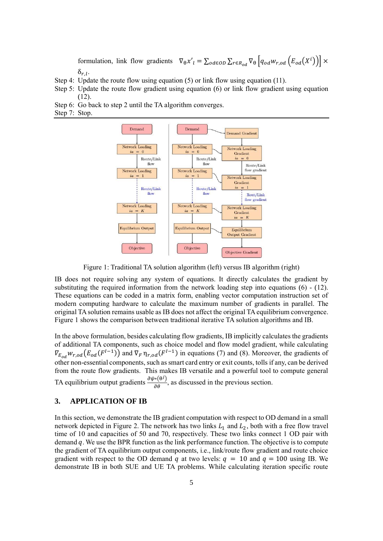formulation, link flow gradients  $\nabla_{\theta} x'_{l} = \sum_{od \in OD} \sum_{r \in R_{od}} \nabla_{\theta} \left[ q_{od} w_{r,od} \left( E_{od}(X^{i}) \right) \right] \times$  $\delta_{r,l}$ .

- Step 4: Update the route flow using equation [\(5\)](#page-2-2) or link flow using equation [\(11\)](#page-3-5).
- Step 5: Update the route flow gradient using equation [\(6\)](#page-3-1) or link flow gradient using equation  $(12)$
- Step 6: Go back to step 2 until the TA algorithm converges.
- Step 7: Stop.



Figure 1: Traditional TA solution algorithm (left) versus IB algorithm (right)

<span id="page-4-0"></span>IB does not require solving any system of equations. It directly calculates the gradient by substituting the required information from the network loading step into equations  $(6)$  -  $(12)$ . These equations can be coded in a matrix form, enabling vector computation instruction set of modern computing hardware to calculate the maximum number of gradients in parallel. The original TA solution remains usable as IB does not affect the original TA equilibrium convergence. [Figure 1](#page-4-0) shows the comparison between traditional iterative TA solution algorithms and IB.

In the above formulation, besides calculating flow gradients, IB implicitly calculates the gradients of additional TA components, such as choice model and flow model gradient, while calculating  $\nabla_{E_{od}} w_{r,od}(E_{od}(F^{I-1}))$  and  $\nabla_F \eta_{r,od}(F^{I-1})$  in equations [\(7\)](#page-3-0) and [\(8\)](#page-3-2). Moreover, the gradients of other non-essential components, such as smart card entry or exit counts, tolls if any, can be derived from the route flow gradients. This makes IB versatile and a powerful tool to compute general TA equilibrium output gradients  $\frac{\partial \psi^*(\theta^j)}{\partial \theta}$ , as discussed in the previous section.

### **3. APPLICATION OF IB**

In this section, we demonstrate the IB gradient computation with respect to OD demand in a small network depicted in [Figure 2.](#page-5-0) The network has two links  $L_1$  and  $L_2$ , both with a free flow travel time of 10 and capacities of 50 and 70, respectively. These two links connect 1 OD pair with demand  $q$ . We use the BPR function as the link performance function. The objective is to compute the gradient of TA equilibrium output components, i.e., link/route flow gradient and route choice gradient with respect to the OD demand q at two levels:  $q = 10$  and  $q = 100$  using IB. We demonstrate IB in both SUE and UE TA problems. While calculating iteration specific route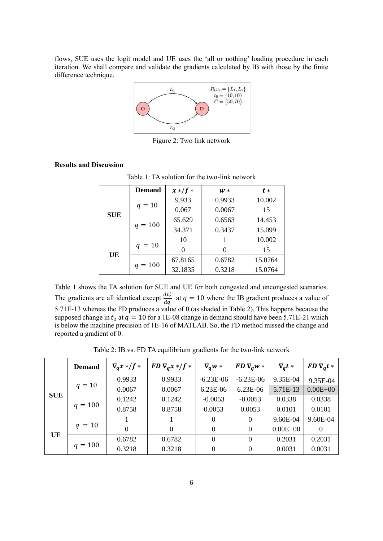flows, SUE uses the logit model and UE uses the 'all or nothing' loading procedure in each iteration. We shall compare and validate the gradients calculated by IB with those by the finite difference technique.



Figure 2: Two link network

### <span id="page-5-0"></span>**Results and Discussion**

|            | <b>Demand</b> | $x*/f*$ | $W*$   | $t *$   |  |
|------------|---------------|---------|--------|---------|--|
| <b>SUE</b> | $q = 10$      | 9.933   | 0.9933 | 10.002  |  |
|            |               | 0.067   | 0.0067 | 15      |  |
|            | $q = 100$     | 65.629  | 0.6563 | 14.453  |  |
|            |               | 34.371  | 0.3437 | 15.099  |  |
| UE         | $q = 10$      | 10      |        | 10.002  |  |
|            |               |         |        | 15      |  |
|            | $q = 100$     | 67.8165 | 0.6782 | 15.0764 |  |
|            |               | 32.1835 | 0.3218 | 15.0764 |  |

Table 1: TA solution for the two-link network

Table 1 shows the TA solution for SUE and UE for both congested and uncongested scenarios. The gradients are all identical except  $\frac{dt_2^*}{dt_1^*}$  $rac{a_1}{dq}$  at  $q = 10$  where the IB gradient produces a value of 5.71E-13 whereas the FD produces a value of 0 (as shaded in Table 2). This happens because the supposed change in  $t_2$  at  $q = 10$  for a 1E-08 change in demand should have been 5.71E-21 which is below the machine precision of 1E-16 of MATLAB. So, the FD method missed the change and reported a gradient of 0.

Table 2: IB vs. FD TA equilibrium gradients for the two-link network

|            | <b>Demand</b> | $\nabla_a x*/f$ * | $FD \nabla_a x \cdot /f$ * | $\nabla_a w *$ | $FD \nabla_a w *$ | $\nabla_a t *$ | $FD \nabla_a t *$ |
|------------|---------------|-------------------|----------------------------|----------------|-------------------|----------------|-------------------|
| <b>SUE</b> | $q = 10$      | 0.9933            | 0.9933                     | $-6.23E-06$    | $-6.23E-06$       | 9.35E-04       | 9.35E-04          |
|            |               | 0.0067            | 0.0067                     | $6.23E-06$     | 6.23E-06          | 5.71E-13       | $0.00E + 00$      |
|            | $q = 100$     | 0.1242            | 0.1242                     | $-0.0053$      | $-0.0053$         | 0.0338         | 0.0338            |
|            |               | 0.8758            | 0.8758                     | 0.0053         | 0.0053            | 0.0101         | 0.0101            |
| UE         | $q = 10$      |                   |                            |                | $\Omega$          | 9.60E-04       | 9.60E-04          |
|            |               | $\theta$          | $\theta$                   | $\Omega$       | $\Omega$          | $0.00E + 00$   | $\Omega$          |
|            | $q = 100$     | 0.6782            | 0.6782                     | $\Omega$       | $\Omega$          | 0.2031         | 0.2031            |
|            |               | 0.3218            | 0.3218                     |                | $\theta$          | 0.0031         | 0.0031            |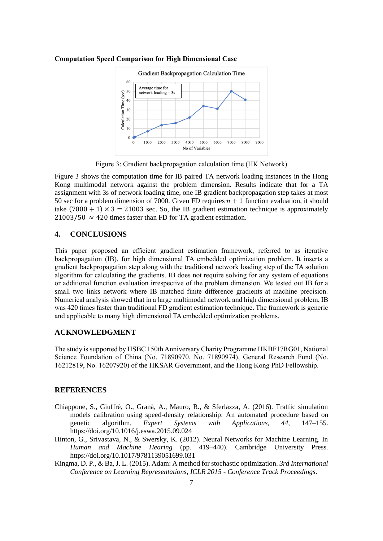

#### **Computation Speed Comparison for High Dimensional Case**

Figure 3: Gradient backpropagation calculation time (HK Network)

<span id="page-6-0"></span>[Figure 3](#page-6-0) shows the computation time for IB paired TA network loading instances in the Hong Kong multimodal network against the problem dimension. Results indicate that for a TA assignment with 3s of network loading time, one IB gradient backpropagation step takes at most 50 sec for a problem dimension of 7000. Given FD requires  $n + 1$  function evaluation, it should take  $(7000 + 1) \times 3 = 21003$  sec. So, the IB gradient estimation technique is approximately  $21003/50 \approx 420$  times faster than FD for TA gradient estimation.

### **4. CONCLUSIONS**

This paper proposed an efficient gradient estimation framework, referred to as iterative backpropagation (IB), for high dimensional TA embedded optimization problem. It inserts a gradient backpropagation step along with the traditional network loading step of the TA solution algorithm for calculating the gradients. IB does not require solving for any system of equations or additional function evaluation irrespective of the problem dimension. We tested out IB for a small two links network where IB matched finite difference gradients at machine precision. Numerical analysis showed that in a large multimodal network and high dimensional problem, IB was 420 times faster than traditional FD gradient estimation technique. The framework is generic and applicable to many high dimensional TA embedded optimization problems.

### **ACKNOWLEDGMENT**

The study is supported by HSBC 150th Anniversary Charity Programme HKBF17RG01, National Science Foundation of China (No. 71890970, No. 71890974), General Research Fund (No. 16212819, No. 16207920) of the HKSAR Government, and the Hong Kong PhD Fellowship.

### **REFERENCES**

- Chiappone, S., Giuffrè, O., Granà, A., Mauro, R., & Sferlazza, A. (2016). Traffic simulation models calibration using speed-density relationship: An automated procedure based on genetic algorithm. *Expert Systems with Applications*, *44*, 147–155. https://doi.org/10.1016/j.eswa.2015.09.024
- Hinton, G., Srivastava, N., & Swersky, K. (2012). Neural Networks for Machine Learning. In *Human and Machine Hearing* (pp. 419–440). Cambridge University Press. https://doi.org/10.1017/9781139051699.031
- Kingma, D. P., & Ba, J. L. (2015). Adam: A method for stochastic optimization. *3rd International Conference on Learning Representations, ICLR 2015 - Conference Track Proceedings*.